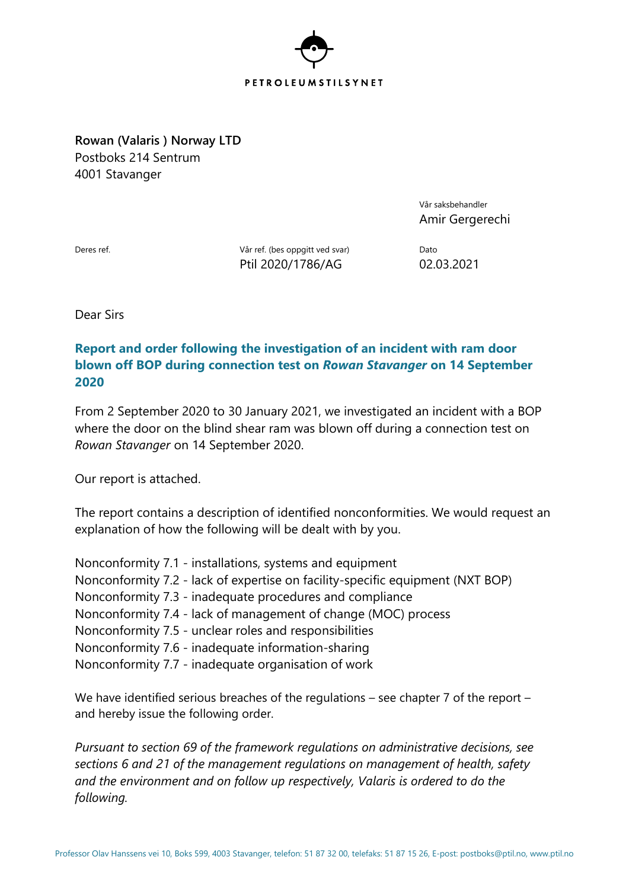

**Rowan (Valaris ) Norway LTD** Postboks 214 Sentrum 4001 Stavanger

> Vår saksbehandler Amir Gergerechi

Deres ref. National Market Vår ref. (bes oppgitt ved svar) Dato Ptil 2020/1786/AG 02.03.2021

Dear Sirs

## **Report and order following the investigation of an incident with ram door blown off BOP during connection test on** *Rowan Stavanger* **on 14 September 2020**

From 2 September 2020 to 30 January 2021, we investigated an incident with a BOP where the door on the blind shear ram was blown off during a connection test on *Rowan Stavanger* on 14 September 2020.

Our report is attached.

The report contains a description of identified nonconformities. We would request an explanation of how the following will be dealt with by you.

Nonconformity 7.1 - installations, systems and equipment Nonconformity 7.2 - lack of expertise on facility-specific equipment (NXT BOP) Nonconformity 7.3 - inadequate procedures and compliance Nonconformity 7.4 - lack of management of change (MOC) process Nonconformity 7.5 - unclear roles and responsibilities Nonconformity 7.6 - inadequate information-sharing Nonconformity 7.7 - inadequate organisation of work

We have identified serious breaches of the regulations – see chapter 7 of the report – and hereby issue the following order.

*Pursuant to section 69 of the framework regulations on administrative decisions, see sections 6 and 21 of the management regulations on management of health, safety and the environment and on follow up respectively, Valaris is ordered to do the following.*